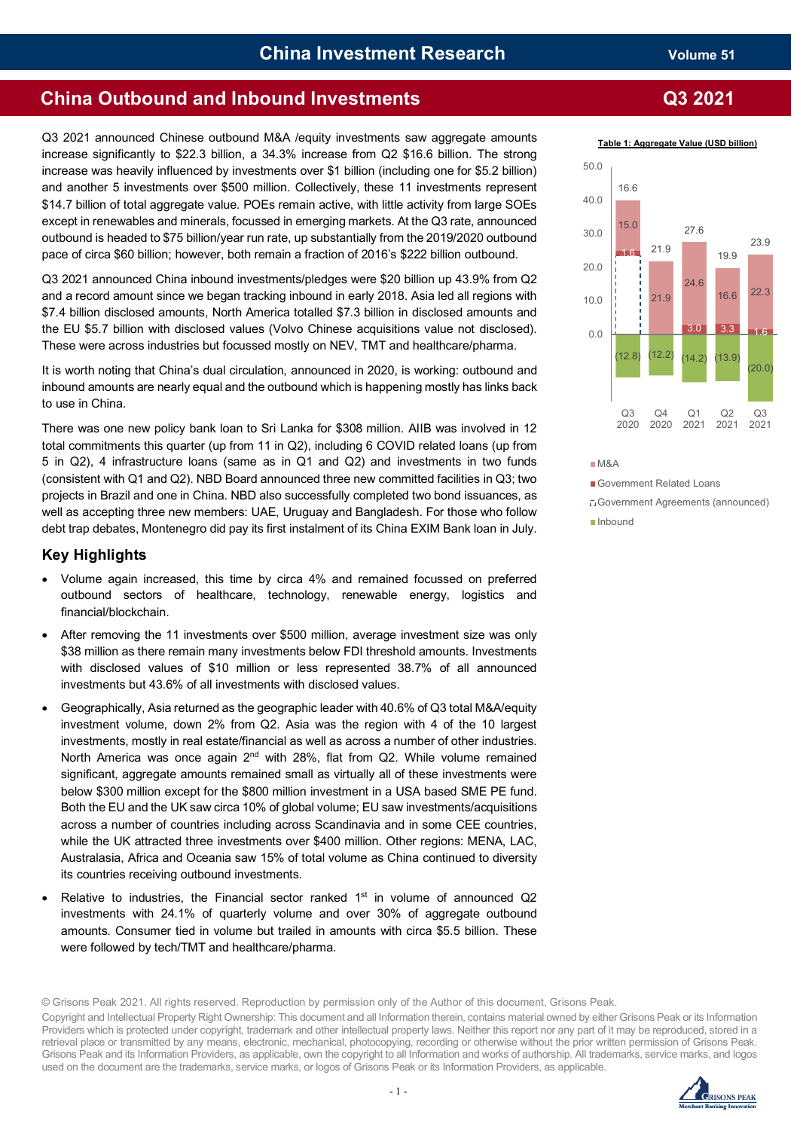# **China Outbound and Inbound Investments Q3 2021**

Q3 2021 announced Chinese outbound M&A /equity investments saw aggregate amounts increase significantly to \$22.3 billion, a 34.3% increase from Q2 \$16.6 billion. The strong increase was heavily influenced by investments over \$1 billion (including one for \$5.2 billion) and another 5 investments over \$500 million. Collectively, these 11 investments represent \$14.7 billion of total aggregate value. POEs remain active, with little activity from large SOEs except in renewables and minerals, focussed in emerging markets. At the Q3 rate, announced outbound is headed to \$75 billion/year run rate, up substantially from the 2019/2020 outbound pace of circa \$60 billion; however, both remain a fraction of 2016's \$222 billion outbound.

Q3 2021 announced China inbound investments/pledges were \$20 billion up 43.9% from Q2 and a record amount since we began tracking inbound in early 2018. Asia led all regions with \$7.4 billion disclosed amounts, North America totalled \$7.3 billion in disclosed amounts and the EU \$5.7 billion with disclosed values (Volvo Chinese acquisitions value not disclosed). These were across industries but focussed mostly on NEV, TMT and healthcare/pharma.

It is worth noting that China's dual circulation, announced in 2020, is working: outbound and inbound amounts are nearly equal and the outbound which is happening mostly has links back to use in China.

There was one new policy bank loan to Sri Lanka for \$308 million. AIIB was involved in 12 total commitments this quarter (up from 11 in Q2), including 6 COVID related loans (up from 5 in Q2), 4 infrastructure loans (same as in Q1 and Q2) and investments in two funds (consistent with Q1 and Q2). NBD Board announced three new committed facilities in Q3; two projects in Brazil and one in China. NBD also successfully completed two bond issuances, as well as accepting three new members: UAE, Uruguay and Bangladesh. For those who follow debt trap debates, Montenegro did pay its first instalment of its China EXIM Bank loan in July.

## **Key Highlights**

- Volume again increased, this time by circa 4% and remained focussed on preferred outbound sectors of healthcare, technology, renewable energy, logistics and financial/blockchain.
- After removing the 11 investments over \$500 million, average investment size was only \$38 million as there remain many investments below FDI threshold amounts. Investments with disclosed values of \$10 million or less represented 38.7% of all announced investments but 43.6% of all investments with disclosed values.
- Geographically, Asia returned as the geographic leader with 40.6% of Q3 total M&A/equity investment volume, down 2% from Q2. Asia was the region with 4 of the 10 largest investments, mostly in real estate/financial as well as across a number of other industries. North America was once again  $2<sup>nd</sup>$  with 28%, flat from Q2. While volume remained significant, aggregate amounts remained small as virtually all of these investments were below \$300 million except for the \$800 million investment in a USA based SME PE fund. Both the EU and the UK saw circa 10% of global volume; EU saw investments/acquisitions across a number of countries including across Scandinavia and in some CEE countries, while the UK attracted three investments over \$400 million. Other regions: MENA, LAC, Australasia, Africa and Oceania saw 15% of total volume as China continued to diversity its countries receiving outbound investments.
- Relative to industries, the Financial sector ranked  $1<sup>st</sup>$  in volume of announced Q2 investments with 24.1% of quarterly volume and over 30% of aggregate outbound amounts. Consumer tied in volume but trailed in amounts with circa \$5.5 billion. These were followed by tech/TMT and healthcare/pharma.

© Grisons Peak 2021. All rights reserved. Reproduction by permission only of the Author of this document, Grisons Peak.

Copyright and Intellectual Property Right Ownership: This document and all Information therein, contains material owned by either Grisons Peak or its Information Providers which is protected under copyright, trademark and other intellectual property laws. Neither this report nor any part of it may be reproduced, stored in a retrieval place or transmitted by any means, electronic, mechanical, photocopying, recording or otherwise without the prior written permission of Grisons Peak. Grisons Peak and its Information Providers, as applicable, own the copyright to all Information and works of authorship. All trademarks, service marks, and logos used on the document are the trademarks, service marks, or logos of Grisons Peak or its Information Providers, as applicable.

**Table 1: Aggregate Value (USD billion)**



M&A

#### Government Related Loans

Government Agreements (announced) Inbound

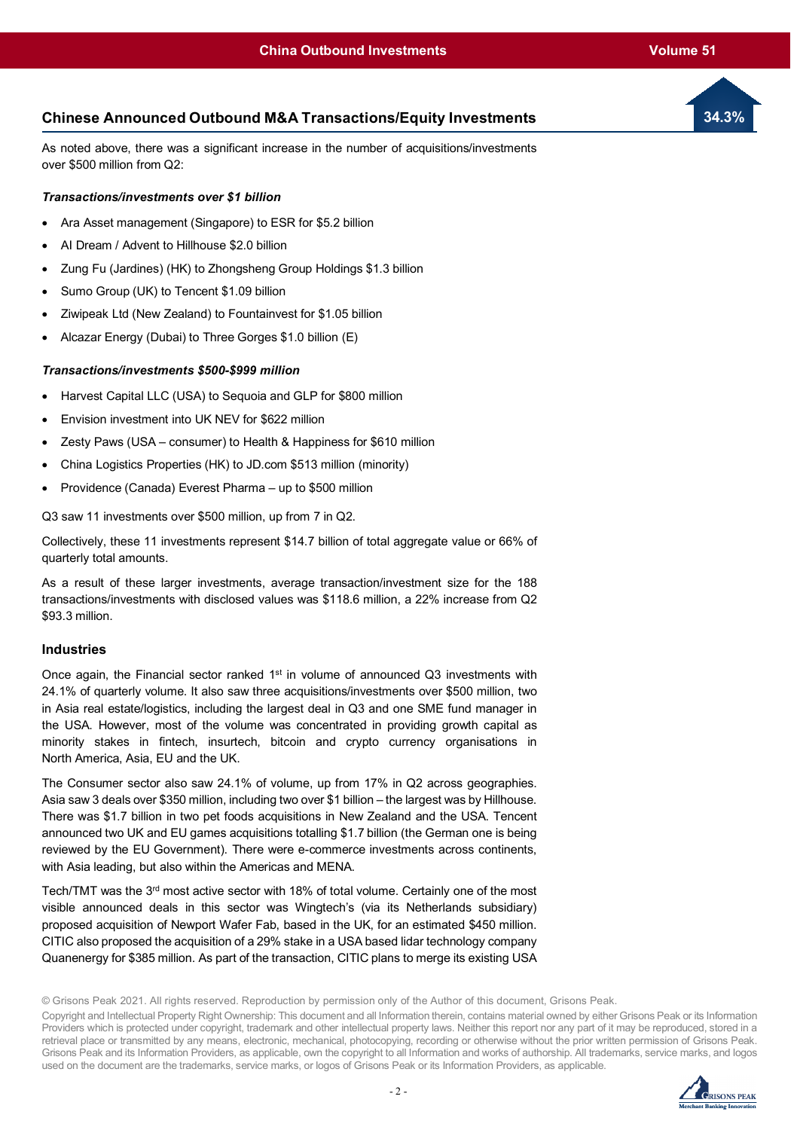## **Chinese Announced Outbound M&A Transactions/Equity Investments**

As noted above, there was a significant increase in the number of acquisitions/investments over \$500 million from Q2:

## *Transactions/investments over \$1 billion*

- Ara Asset management (Singapore) to ESR for \$5.2 billion
- AI Dream / Advent to Hillhouse \$2.0 billion
- Zung Fu (Jardines) (HK) to Zhongsheng Group Holdings \$1.3 billion
- Sumo Group (UK) to Tencent \$1.09 billion
- Ziwipeak Ltd (New Zealand) to Fountainvest for \$1.05 billion
- Alcazar Energy (Dubai) to Three Gorges \$1.0 billion (E)

## *Transactions/investments \$500-\$999 million*

- Harvest Capital LLC (USA) to Sequoia and GLP for \$800 million
- Envision investment into UK NEV for \$622 million
- Zesty Paws (USA consumer) to Health & Happiness for \$610 million
- China Logistics Properties (HK) to JD.com \$513 million (minority)
- Providence (Canada) Everest Pharma up to \$500 million

Q3 saw 11 investments over \$500 million, up from 7 in Q2.

Collectively, these 11 investments represent \$14.7 billion of total aggregate value or 66% of quarterly total amounts.

As a result of these larger investments, average transaction/investment size for the 188 transactions/investments with disclosed values was \$118.6 million, a 22% increase from Q2 \$93.3 million.

## **Industries**

Once again, the Financial sector ranked  $1<sup>st</sup>$  in volume of announced Q3 investments with 24.1% of quarterly volume. It also saw three acquisitions/investments over \$500 million, two in Asia real estate/logistics, including the largest deal in Q3 and one SME fund manager in the USA. However, most of the volume was concentrated in providing growth capital as minority stakes in fintech, insurtech, bitcoin and crypto currency organisations in North America, Asia, EU and the UK.

The Consumer sector also saw 24.1% of volume, up from 17% in Q2 across geographies. Asia saw 3 deals over \$350 million, including two over \$1 billion – the largest was by Hillhouse. There was \$1.7 billion in two pet foods acquisitions in New Zealand and the USA. Tencent announced two UK and EU games acquisitions totalling \$1.7 billion (the German one is being reviewed by the EU Government). There were e-commerce investments across continents, with Asia leading, but also within the Americas and MENA.

Tech/TMT was the 3rd most active sector with 18% of total volume. Certainly one of the most visible announced deals in this sector was Wingtech's (via its Netherlands subsidiary) proposed acquisition of Newport Wafer Fab, based in the UK, for an estimated \$450 million. CITIC also proposed the acquisition of a 29% stake in a USA based lidar technology company Quanenergy for \$385 million. As part of the transaction, CITIC plans to merge its existing USA

© Grisons Peak 2021. All rights reserved. Reproduction by permission only of the Author of this document, Grisons Peak.



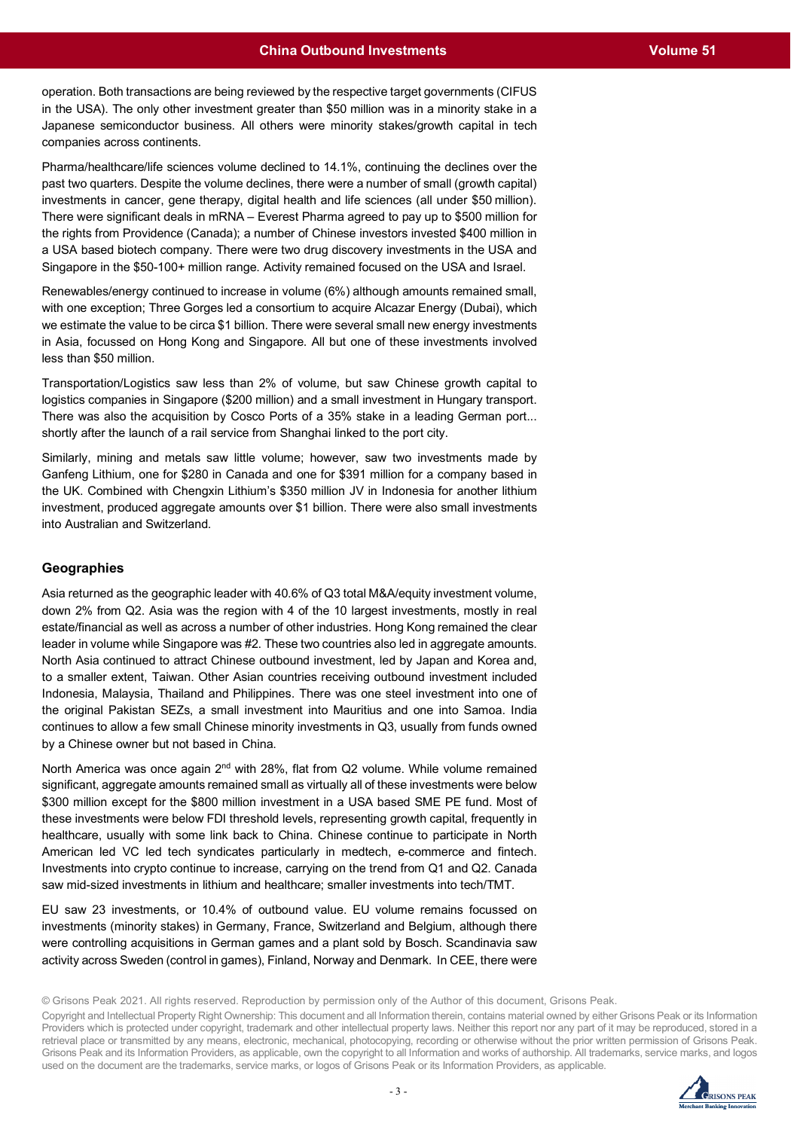operation. Both transactions are being reviewed by the respective target governments (CIFUS in the USA). The only other investment greater than \$50 million was in a minority stake in a Japanese semiconductor business. All others were minority stakes/growth capital in tech companies across continents.

Pharma/healthcare/life sciences volume declined to 14.1%, continuing the declines over the past two quarters. Despite the volume declines, there were a number of small (growth capital) investments in cancer, gene therapy, digital health and life sciences (all under \$50 million). There were significant deals in mRNA – Everest Pharma agreed to pay up to \$500 million for the rights from Providence (Canada); a number of Chinese investors invested \$400 million in a USA based biotech company. There were two drug discovery investments in the USA and Singapore in the \$50-100+ million range. Activity remained focused on the USA and Israel.

Renewables/energy continued to increase in volume (6%) although amounts remained small, with one exception; Three Gorges led a consortium to acquire Alcazar Energy (Dubai), which we estimate the value to be circa \$1 billion. There were several small new energy investments in Asia, focussed on Hong Kong and Singapore. All but one of these investments involved less than \$50 million.

Transportation/Logistics saw less than 2% of volume, but saw Chinese growth capital to logistics companies in Singapore (\$200 million) and a small investment in Hungary transport. There was also the acquisition by Cosco Ports of a 35% stake in a leading German port... shortly after the launch of a rail service from Shanghai linked to the port city.

Similarly, mining and metals saw little volume; however, saw two investments made by Ganfeng Lithium, one for \$280 in Canada and one for \$391 million for a company based in the UK. Combined with Chengxin Lithium's \$350 million JV in Indonesia for another lithium investment, produced aggregate amounts over \$1 billion. There were also small investments into Australian and Switzerland.

## **Geographies**

Asia returned as the geographic leader with 40.6% of Q3 total M&A/equity investment volume, down 2% from Q2. Asia was the region with 4 of the 10 largest investments, mostly in real estate/financial as well as across a number of other industries. Hong Kong remained the clear leader in volume while Singapore was #2. These two countries also led in aggregate amounts. North Asia continued to attract Chinese outbound investment, led by Japan and Korea and, to a smaller extent, Taiwan. Other Asian countries receiving outbound investment included Indonesia, Malaysia, Thailand and Philippines. There was one steel investment into one of the original Pakistan SEZs, a small investment into Mauritius and one into Samoa. India continues to allow a few small Chinese minority investments in Q3, usually from funds owned by a Chinese owner but not based in China.

North America was once again  $2<sup>nd</sup>$  with 28%, flat from Q2 volume. While volume remained significant, aggregate amounts remained small as virtually all of these investments were below \$300 million except for the \$800 million investment in a USA based SME PE fund. Most of these investments were below FDI threshold levels, representing growth capital, frequently in healthcare, usually with some link back to China. Chinese continue to participate in North American led VC led tech syndicates particularly in medtech, e-commerce and fintech. Investments into crypto continue to increase, carrying on the trend from Q1 and Q2. Canada saw mid-sized investments in lithium and healthcare; smaller investments into tech/TMT.

EU saw 23 investments, or 10.4% of outbound value. EU volume remains focussed on investments (minority stakes) in Germany, France, Switzerland and Belgium, although there were controlling acquisitions in German games and a plant sold by Bosch. Scandinavia saw activity across Sweden (control in games), Finland, Norway and Denmark. In CEE, there were

© Grisons Peak 2021. All rights reserved. Reproduction by permission only of the Author of this document, Grisons Peak.

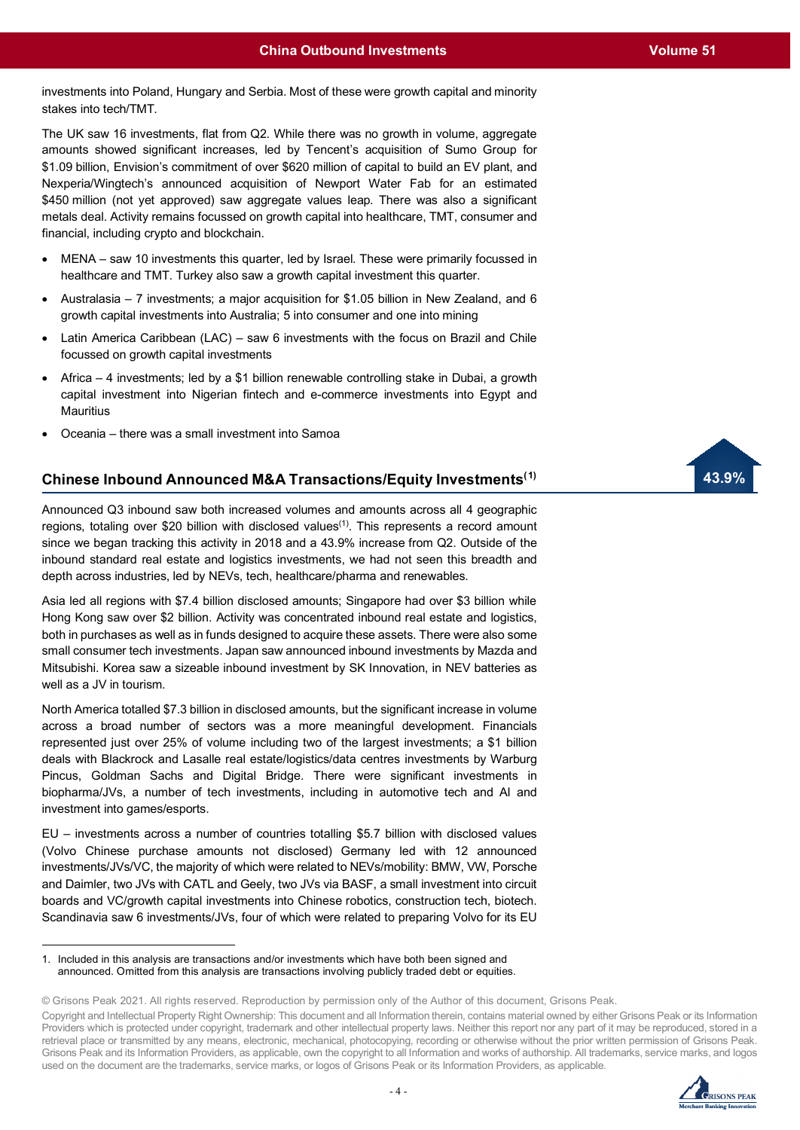**43.9%**

investments into Poland, Hungary and Serbia. Most of these were growth capital and minority stakes into tech/TMT.

The UK saw 16 investments, flat from Q2. While there was no growth in volume, aggregate amounts showed significant increases, led by Tencent's acquisition of Sumo Group for \$1.09 billion, Envision's commitment of over \$620 million of capital to build an EV plant, and Nexperia/Wingtech's announced acquisition of Newport Water Fab for an estimated \$450 million (not yet approved) saw aggregate values leap. There was also a significant metals deal. Activity remains focussed on growth capital into healthcare, TMT, consumer and financial, including crypto and blockchain.

- MENA saw 10 investments this quarter, led by Israel. These were primarily focussed in healthcare and TMT. Turkey also saw a growth capital investment this quarter.
- Australasia 7 investments; a major acquisition for \$1.05 billion in New Zealand, and 6 growth capital investments into Australia; 5 into consumer and one into mining
- Latin America Caribbean (LAC) saw 6 investments with the focus on Brazil and Chile focussed on growth capital investments
- Africa 4 investments; led by a \$1 billion renewable controlling stake in Dubai, a growth capital investment into Nigerian fintech and e-commerce investments into Egypt and **Mauritius**
- Oceania there was a small investment into Samoa

## **Chinese Inbound Announced M&A Transactions/Equity Investments([1](#page-3-0))**

Announced Q3 inbound saw both increased volumes and amounts across all 4 geographic regions, totaling over \$20 billion with disclosed values<sup>(1)</sup>. This represents a record amount since we began tracking this activity in 2018 and a 43.9% increase from Q2. Outside of the inbound standard real estate and logistics investments, we had not seen this breadth and depth across industries, led by NEVs, tech, healthcare/pharma and renewables.

Asia led all regions with \$7.4 billion disclosed amounts; Singapore had over \$3 billion while Hong Kong saw over \$2 billion. Activity was concentrated inbound real estate and logistics, both in purchases as well as in funds designed to acquire these assets. There were also some small consumer tech investments. Japan saw announced inbound investments by Mazda and Mitsubishi. Korea saw a sizeable inbound investment by SK Innovation, in NEV batteries as well as a JV in tourism.

North America totalled \$7.3 billion in disclosed amounts, but the significant increase in volume across a broad number of sectors was a more meaningful development. Financials represented just over 25% of volume including two of the largest investments; a \$1 billion deals with Blackrock and Lasalle real estate/logistics/data centres investments by Warburg Pincus, Goldman Sachs and Digital Bridge. There were significant investments in biopharma/JVs, a number of tech investments, including in automotive tech and AI and investment into games/esports.

EU – investments across a number of countries totalling \$5.7 billion with disclosed values (Volvo Chinese purchase amounts not disclosed) Germany led with 12 announced investments/JVs/VC, the majority of which were related to NEVs/mobility: BMW, VW, Porsche and Daimler, two JVs with CATL and Geely, two JVs via BASF, a small investment into circuit boards and VC/growth capital investments into Chinese robotics, construction tech, biotech. Scandinavia saw 6 investments/JVs, four of which were related to preparing Volvo for its EU

Copyright and Intellectual Property Right Ownership: This document and all Information therein, contains material owned by either Grisons Peak or its Information Providers which is protected under copyright, trademark and other intellectual property laws. Neither this report nor any part of it may be reproduced, stored in a retrieval place or transmitted by any means, electronic, mechanical, photocopying, recording or otherwise without the prior written permission of Grisons Peak. Grisons Peak and its Information Providers, as applicable, own the copyright to all Information and works of authorship. All trademarks, service marks, and logos used on the document are the trademarks, service marks, or logos of Grisons Peak or its Information Providers, as applicable.



<span id="page-3-0"></span><sup>1.</sup> Included in this analysis are transactions and/or investments which have both been signed and announced. Omitted from this analysis are transactions involving publicly traded debt or equities.

<sup>©</sup> Grisons Peak 2021. All rights reserved. Reproduction by permission only of the Author of this document, Grisons Peak.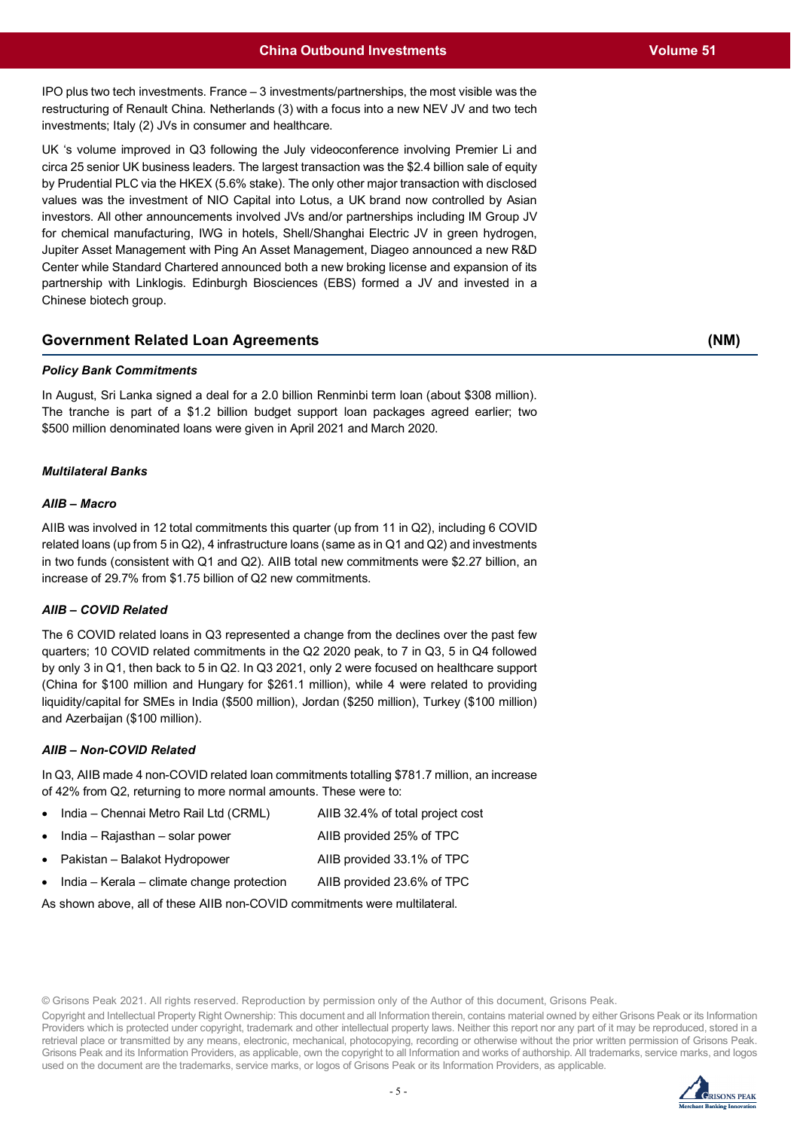IPO plus two tech investments. France – 3 investments/partnerships, the most visible was the restructuring of Renault China. Netherlands (3) with a focus into a new NEV JV and two tech investments; Italy (2) JVs in consumer and healthcare.

UK 's volume improved in Q3 following the July videoconference involving Premier Li and circa 25 senior UK business leaders. The largest transaction was the \$2.4 billion sale of equity by Prudential PLC via the HKEX (5.6% stake). The only other major transaction with disclosed values was the investment of NIO Capital into Lotus, a UK brand now controlled by Asian investors. All other announcements involved JVs and/or partnerships including IM Group JV for chemical manufacturing, IWG in hotels, Shell/Shanghai Electric JV in green hydrogen, Jupiter Asset Management with Ping An Asset Management, Diageo announced a new R&D Center while Standard Chartered announced both a new broking license and expansion of its partnership with Linklogis. Edinburgh Biosciences (EBS) formed a JV and invested in a Chinese biotech group.

## **Government Related Loan Agreements**

## *Policy Bank Commitments*

In August, Sri Lanka signed a deal for a 2.0 billion Renminbi term loan (about \$308 million). The tranche is part of a \$1.2 billion budget support loan packages agreed earlier; two \$500 million denominated loans were given in April 2021 and March 2020.

## *Multilateral Banks*

## *AIIB – Macro*

AIIB was involved in 12 total commitments this quarter (up from 11 in Q2), including 6 COVID related loans (up from 5 in Q2), 4 infrastructure loans (same as in Q1 and Q2) and investments in two funds (consistent with Q1 and Q2). AIIB total new commitments were \$2.27 billion, an increase of 29.7% from \$1.75 billion of Q2 new commitments.

## *AIIB – COVID Related*

The 6 COVID related loans in Q3 represented a change from the declines over the past few quarters; 10 COVID related commitments in the Q2 2020 peak, to 7 in Q3, 5 in Q4 followed by only 3 in Q1, then back to 5 in Q2. In Q3 2021, only 2 were focused on healthcare support (China for \$100 million and Hungary for \$261.1 million), while 4 were related to providing liquidity/capital for SMEs in India (\$500 million), Jordan (\$250 million), Turkey (\$100 million) and Azerbaijan (\$100 million).

## *AIIB – Non-COVID Related*

In Q3, AIIB made 4 non-COVID related loan commitments totalling \$781.7 million, an increase of 42% from Q2, returning to more normal amounts. These were to:

| • India – Chennai Metro Rail Ltd (CRML)              | AIIB 32.4% of total project cost |
|------------------------------------------------------|----------------------------------|
| $\bullet$ India – Rajasthan – solar power            | AIIB provided 25% of TPC         |
| • Pakistan – Balakot Hydropower                      | AIIB provided 33.1% of TPC       |
| $\bullet$ India – Kerala – climate change protection | AIIB provided 23.6% of TPC       |

As shown above, all of these AIIB non-COVID commitments were multilateral.

© Grisons Peak 2021. All rights reserved. Reproduction by permission only of the Author of this document, Grisons Peak.

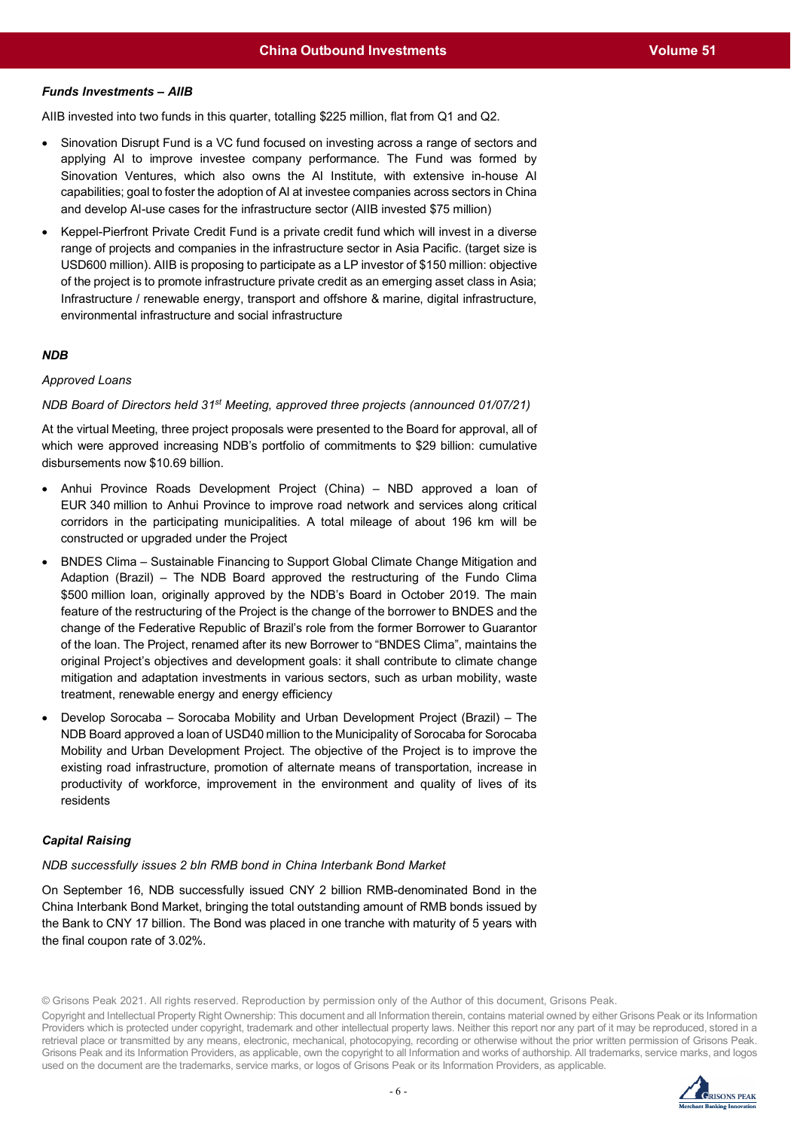## *Funds Investments – AIIB*

AIIB invested into two funds in this quarter, totalling \$225 million, flat from Q1 and Q2.

- Sinovation Disrupt Fund is a VC fund focused on investing across a range of sectors and applying AI to improve investee company performance. The Fund was formed by Sinovation Ventures, which also owns the AI Institute, with extensive in-house AI capabilities; goal to foster the adoption of AI at investee companies across sectors in China and develop AI-use cases for the infrastructure sector (AIIB invested \$75 million)
- Keppel-Pierfront Private Credit Fund is a private credit fund which will invest in a diverse range of projects and companies in the infrastructure sector in Asia Pacific. (target size is USD600 million). AIIB is proposing to participate as a LP investor of \$150 million: objective of the project is to promote infrastructure private credit as an emerging asset class in Asia; Infrastructure / renewable energy, transport and offshore & marine, digital infrastructure, environmental infrastructure and social infrastructure

## *NDB*

## *Approved Loans*

## *NDB Board of Directors held 31st Meeting, approved three projects (announced 01/07/21)*

At the virtual Meeting, three project proposals were presented to the Board for approval, all of which were approved increasing NDB's portfolio of commitments to \$29 billion: cumulative disbursements now \$10.69 billion.

- Anhui Province Roads Development Project (China) NBD approved a loan of EUR 340 million to Anhui Province to improve road network and services along critical corridors in the participating municipalities. A total mileage of about 196 km will be constructed or upgraded under the Project
- BNDES Clima Sustainable Financing to Support Global Climate Change Mitigation and Adaption (Brazil) – The NDB Board approved the restructuring of the Fundo Clima \$500 million loan, originally approved by the NDB's Board in October 2019. The main feature of the restructuring of the Project is the change of the borrower to BNDES and the change of the Federative Republic of Brazil's role from the former Borrower to Guarantor of the loan. The Project, renamed after its new Borrower to "BNDES Clima", maintains the original Project's objectives and development goals: it shall contribute to climate change mitigation and adaptation investments in various sectors, such as urban mobility, waste treatment, renewable energy and energy efficiency
- Develop Sorocaba Sorocaba Mobility and Urban Development Project (Brazil) The NDB Board approved a loan of USD40 million to the Municipality of Sorocaba for Sorocaba Mobility and Urban Development Project. The objective of the Project is to improve the existing road infrastructure, promotion of alternate means of transportation, increase in productivity of workforce, improvement in the environment and quality of lives of its residents

## *Capital Raising*

#### *NDB successfully issues 2 bln RMB bond in China Interbank Bond Market*

On September 16, NDB successfully issued CNY 2 billion RMB-denominated Bond in the China Interbank Bond Market, bringing the total outstanding amount of RMB bonds issued by the Bank to CNY 17 billion. The Bond was placed in one tranche with maturity of 5 years with the final coupon rate of 3.02%.

© Grisons Peak 2021. All rights reserved. Reproduction by permission only of the Author of this document, Grisons Peak.

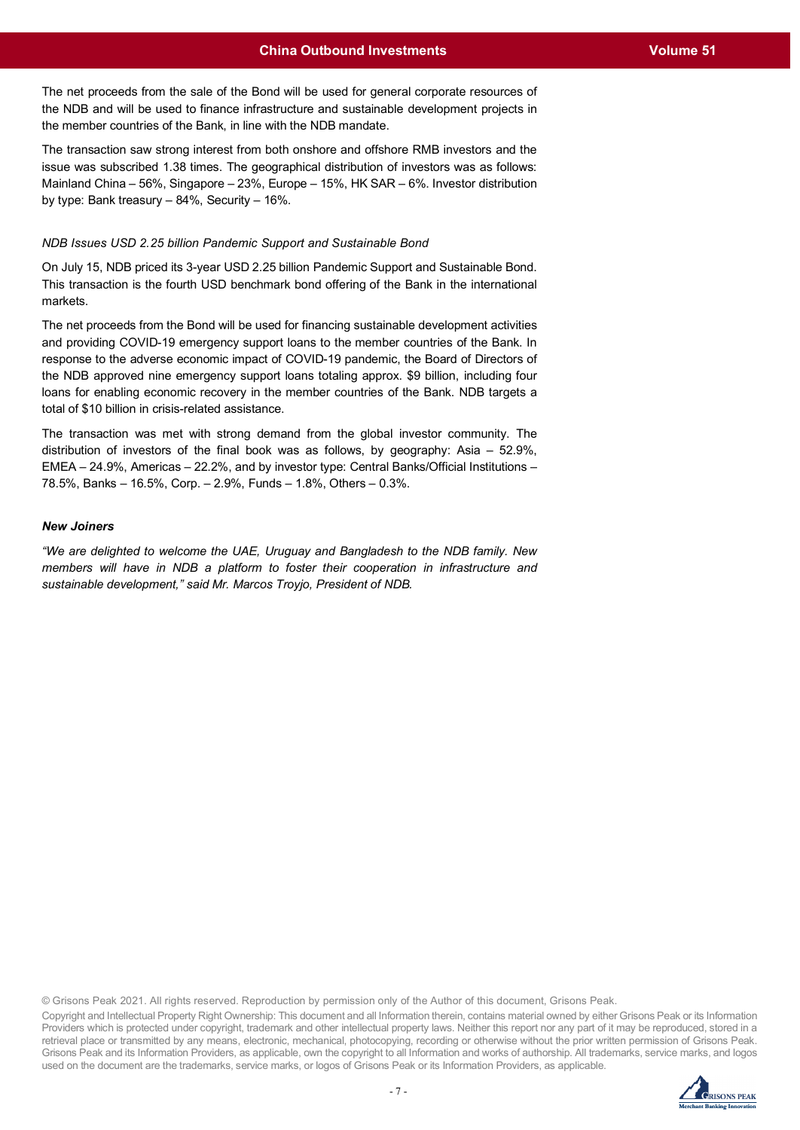The net proceeds from the sale of the Bond will be used for general corporate resources of the NDB and will be used to finance infrastructure and sustainable development projects in the member countries of the Bank, in line with the NDB mandate.

The transaction saw strong interest from both onshore and offshore RMB investors and the issue was subscribed 1.38 times. The geographical distribution of investors was as follows: Mainland China – 56%, Singapore – 23%, Europe – 15%, HK SAR – 6%. Investor distribution by type: Bank treasury – 84%, Security – 16%.

#### *NDB Issues USD 2.25 billion Pandemic Support and Sustainable Bond*

On July 15, NDB priced its 3-year USD 2.25 billion Pandemic Support and Sustainable Bond. This transaction is the fourth USD benchmark bond offering of the Bank in the international markets.

The net proceeds from the Bond will be used for financing sustainable development activities and providing COVID-19 emergency support loans to the member countries of the Bank. In response to the adverse economic impact of COVID-19 pandemic, the Board of Directors of the NDB approved nine emergency support loans totaling approx. \$9 billion, including four loans for enabling economic recovery in the member countries of the Bank. NDB targets a total of \$10 billion in crisis-related assistance.

The transaction was met with strong demand from the global investor community. The distribution of investors of the final book was as follows, by geography: Asia – 52.9%, EMEA – 24.9%, Americas – 22.2%, and by investor type: Central Banks/Official Institutions – 78.5%, Banks – 16.5%, Corp. – 2.9%, Funds – 1.8%, Others – 0.3%.

## *New Joiners*

*"We are delighted to welcome the UAE, Uruguay and Bangladesh to the NDB family. New members will have in NDB a platform to foster their cooperation in infrastructure and sustainable development," said Mr. Marcos Troyjo, President of NDB.* 

© Grisons Peak 2021. All rights reserved. Reproduction by permission only of the Author of this document, Grisons Peak.